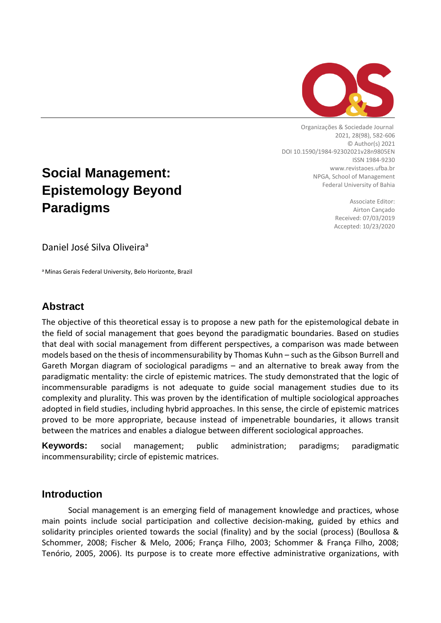

Organizações & Sociedade Journal 2021, 28(98), 582-606 © Author(s) 2021 DOI 10.1590/1984-92302021v28n9805EN ISSN 1984-9230 [www.revistaoes.ufba.br](about:blank) NPGA, School of Management Federal University of Bahia

#### Associate Editor: Airton Cançado Received: 07/03/2019 Accepted: 10/23/2020

**Social Management: Epistemology Beyond Paradigms**

Daniel José Silva Oliveira<sup>a</sup>

<sup>a</sup> Minas Gerais Federal University, Belo Horizonte, Brazil

# **Abstract**

The objective of this theoretical essay is to propose a new path for the epistemological debate in the field of social management that goes beyond the paradigmatic boundaries. Based on studies that deal with social management from different perspectives, a comparison was made between models based on the thesis of incommensurability by Thomas Kuhn – such as the Gibson Burrell and Gareth Morgan diagram of sociological paradigms – and an alternative to break away from the paradigmatic mentality: the circle of epistemic matrices. The study demonstrated that the logic of incommensurable paradigms is not adequate to guide social management studies due to its complexity and plurality. This was proven by the identification of multiple sociological approaches adopted in field studies, including hybrid approaches. In this sense, the circle of epistemic matrices proved to be more appropriate, because instead of impenetrable boundaries, it allows transit between the matrices and enables a dialogue between different sociological approaches.

**Keywords:** social management; public administration; paradigms; paradigmatic incommensurability; circle of epistemic matrices.

### **Introduction**

Social management is an emerging field of management knowledge and practices, whose main points include social participation and collective decision-making, guided by ethics and solidarity principles oriented towards the social (finality) and by the social (process) (Boullosa & Schommer, 2008; Fischer & Melo, 2006; França Filho, 2003; Schommer & França Filho, 2008; Tenório, 2005, 2006). Its purpose is to create more effective administrative organizations, with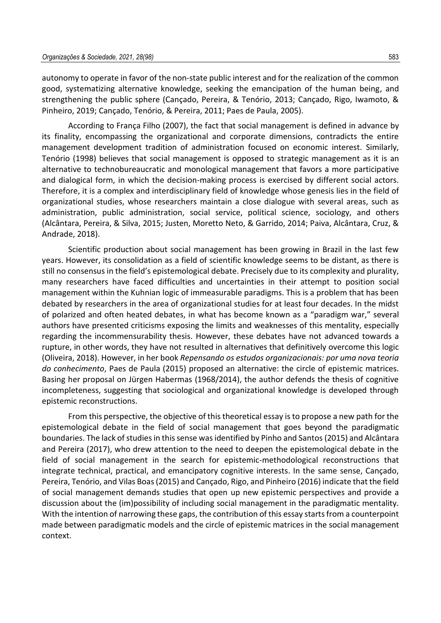autonomy to operate in favor of the non-state public interest and for the realization of the common good, systematizing alternative knowledge, seeking the emancipation of the human being, and strengthening the public sphere (Cançado, Pereira, & Tenório, 2013; Cançado, Rigo, Iwamoto, & Pinheiro, 2019; Cançado, Tenório, & Pereira, 2011; Paes de Paula, 2005).

According to França Filho (2007), the fact that social management is defined in advance by its finality, encompassing the organizational and corporate dimensions, contradicts the entire management development tradition of administration focused on economic interest. Similarly, Tenório (1998) believes that social management is opposed to strategic management as it is an alternative to technobureaucratic and monological management that favors a more participative and dialogical form, in which the decision-making process is exercised by different social actors. Therefore, it is a complex and interdisciplinary field of knowledge whose genesis lies in the field of organizational studies, whose researchers maintain a close dialogue with several areas, such as administration, public administration, social service, political science, sociology, and others (Alcântara, Pereira, & Silva, 2015; Justen, Moretto Neto, & Garrido, 2014; Paiva, Alcântara, Cruz, & Andrade, 2018).

Scientific production about social management has been growing in Brazil in the last few years. However, its consolidation as a field of scientific knowledge seems to be distant, as there is still no consensus in the field's epistemological debate. Precisely due to its complexity and plurality, many researchers have faced difficulties and uncertainties in their attempt to position social management within the Kuhnian logic of immeasurable paradigms. This is a problem that has been debated by researchers in the area of organizational studies for at least four decades. In the midst of polarized and often heated debates, in what has become known as a "paradigm war," several authors have presented criticisms exposing the limits and weaknesses of this mentality, especially regarding the incommensurability thesis. However, these debates have not advanced towards a rupture, in other words, they have not resulted in alternatives that definitively overcome this logic (Oliveira, 2018). However, in her book *Repensando os estudos organizacionais: por uma nova teoria do conhecimento*, Paes de Paula (2015) proposed an alternative: the circle of epistemic matrices. Basing her proposal on Jürgen Habermas (1968/2014), the author defends the thesis of cognitive incompleteness, suggesting that sociological and organizational knowledge is developed through epistemic reconstructions.

From this perspective, the objective of this theoretical essay is to propose a new path for the epistemological debate in the field of social management that goes beyond the paradigmatic boundaries. The lack of studies in this sense wasidentified by Pinho and Santos (2015) and Alcântara and Pereira (2017), who drew attention to the need to deepen the epistemological debate in the field of social management in the search for epistemic-methodological reconstructions that integrate technical, practical, and emancipatory cognitive interests. In the same sense, Cançado, Pereira, Tenório, and Vilas Boas (2015) and Cançado, Rigo, and Pinheiro (2016) indicate that the field of social management demands studies that open up new epistemic perspectives and provide a discussion about the (im)possibility of including social management in the paradigmatic mentality. With the intention of narrowing these gaps, the contribution of this essay starts from a counterpoint made between paradigmatic models and the circle of epistemic matrices in the social management context.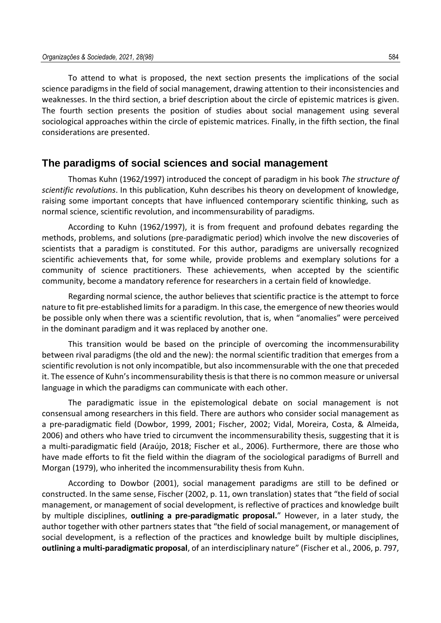To attend to what is proposed, the next section presents the implications of the social science paradigms in the field of social management, drawing attention to their inconsistencies and weaknesses. In the third section, a brief description about the circle of epistemic matrices is given. The fourth section presents the position of studies about social management using several sociological approaches within the circle of epistemic matrices. Finally, in the fifth section, the final considerations are presented.

#### **The paradigms of social sciences and social management**

Thomas Kuhn (1962/1997) introduced the concept of paradigm in his book *The structure of scientific revolutions*. In this publication, Kuhn describes his theory on development of knowledge, raising some important concepts that have influenced contemporary scientific thinking, such as normal science, scientific revolution, and incommensurability of paradigms.

According to Kuhn (1962/1997), it is from frequent and profound debates regarding the methods, problems, and solutions (pre-paradigmatic period) which involve the new discoveries of scientists that a paradigm is constituted. For this author, paradigms are universally recognized scientific achievements that, for some while, provide problems and exemplary solutions for a community of science practitioners. These achievements, when accepted by the scientific community, become a mandatory reference for researchers in a certain field of knowledge.

Regarding normal science, the author believes that scientific practice is the attempt to force nature to fit pre-established limits for a paradigm. In this case, the emergence of new theories would be possible only when there was a scientific revolution, that is, when "anomalies" were perceived in the dominant paradigm and it was replaced by another one.

This transition would be based on the principle of overcoming the incommensurability between rival paradigms (the old and the new): the normal scientific tradition that emerges from a scientific revolution is not only incompatible, but also incommensurable with the one that preceded it. The essence of Kuhn's incommensurability thesis is that there is no common measure or universal language in which the paradigms can communicate with each other.

The paradigmatic issue in the epistemological debate on social management is not consensual among researchers in this field. There are authors who consider social management as a pre-paradigmatic field (Dowbor, 1999, 2001; Fischer, 2002; Vidal, Moreira, Costa, & Almeida, 2006) and others who have tried to circumvent the incommensurability thesis, suggesting that it is a multi-paradigmatic field (Araújo, 2018; Fischer et al., 2006). Furthermore, there are those who have made efforts to fit the field within the diagram of the sociological paradigms of Burrell and Morgan (1979), who inherited the incommensurability thesis from Kuhn.

According to Dowbor (2001), social management paradigms are still to be defined or constructed. In the same sense, Fischer (2002, p. 11, own translation) states that "the field of social management, or management of social development, is reflective of practices and knowledge built by multiple disciplines, **outlining a pre-paradigmatic proposal.**" However, in a later study, the author together with other partners states that "the field of social management, or management of social development, is a reflection of the practices and knowledge built by multiple disciplines, **outlining a multi-paradigmatic proposal**, of an interdisciplinary nature" (Fischer et al., 2006, p. 797,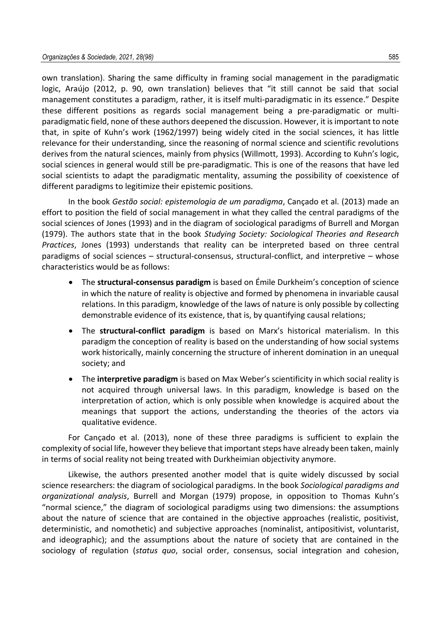own translation). Sharing the same difficulty in framing social management in the paradigmatic logic, Araújo (2012, p. 90, own translation) believes that "it still cannot be said that social management constitutes a paradigm, rather, it is itself multi-paradigmatic in its essence." Despite these different positions as regards social management being a pre-paradigmatic or multiparadigmatic field, none of these authors deepened the discussion. However, it is important to note that, in spite of Kuhn's work (1962/1997) being widely cited in the social sciences, it has little relevance for their understanding, since the reasoning of normal science and scientific revolutions derives from the natural sciences, mainly from physics (Willmott, 1993). According to Kuhn's logic, social sciences in general would still be pre-paradigmatic. This is one of the reasons that have led social scientists to adapt the paradigmatic mentality, assuming the possibility of coexistence of different paradigms to legitimize their epistemic positions.

In the book *Gestão social: epistemologia de um paradigma*, Cançado et al. (2013) made an effort to position the field of social management in what they called the central paradigms of the social sciences of Jones (1993) and in the diagram of sociological paradigms of Burrell and Morgan (1979). The authors state that in the book *Studying Society: Sociological Theories and Research Practices*, Jones (1993) understands that reality can be interpreted based on three central paradigms of social sciences – structural-consensus, structural-conflict, and interpretive – whose characteristics would be as follows:

- The **structural-consensus paradigm** is based on Émile Durkheim's conception of science in which the nature of reality is objective and formed by phenomena in invariable causal relations. In this paradigm, knowledge of the laws of nature is only possible by collecting demonstrable evidence of its existence, that is, by quantifying causal relations;
- The **structural-conflict paradigm** is based on Marx's historical materialism. In this paradigm the conception of reality is based on the understanding of how social systems work historically, mainly concerning the structure of inherent domination in an unequal society; and
- The **interpretive paradigm** is based on Max Weber's scientificity in which social reality is not acquired through universal laws. In this paradigm, knowledge is based on the interpretation of action, which is only possible when knowledge is acquired about the meanings that support the actions, understanding the theories of the actors via qualitative evidence.

For Cançado et al. (2013), none of these three paradigms is sufficient to explain the complexity of social life, however they believe that important steps have already been taken, mainly in terms of social reality not being treated with Durkheimian objectivity anymore.

Likewise, the authors presented another model that is quite widely discussed by social science researchers: the diagram of sociological paradigms. In the book *Sociological paradigms and organizational analysis*, Burrell and Morgan (1979) propose, in opposition to Thomas Kuhn's "normal science," the diagram of sociological paradigms using two dimensions: the assumptions about the nature of science that are contained in the objective approaches (realistic, positivist, deterministic, and nomothetic) and subjective approaches (nominalist, antipositivist, voluntarist, and ideographic); and the assumptions about the nature of society that are contained in the sociology of regulation (*status quo*, social order, consensus, social integration and cohesion,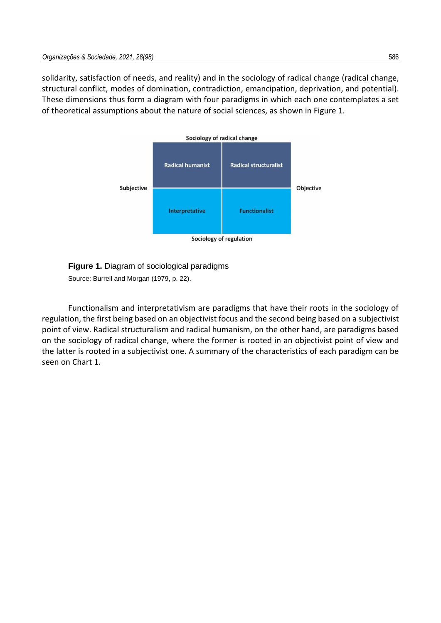solidarity, satisfaction of needs, and reality) and in the sociology of radical change (radical change, structural conflict, modes of domination, contradiction, emancipation, deprivation, and potential). These dimensions thus form a diagram with four paradigms in which each one contemplates a set of theoretical assumptions about the nature of social sciences, as shown in Figure 1.



**Figure 1.** Diagram of sociological paradigms Source: Burrell and Morgan (1979, p. 22).

Functionalism and interpretativism are paradigms that have their roots in the sociology of regulation, the first being based on an objectivist focus and the second being based on a subjectivist point of view. Radical structuralism and radical humanism, on the other hand, are paradigms based on the sociology of radical change, where the former is rooted in an objectivist point of view and the latter is rooted in a subjectivist one. A summary of the characteristics of each paradigm can be seen on Chart 1.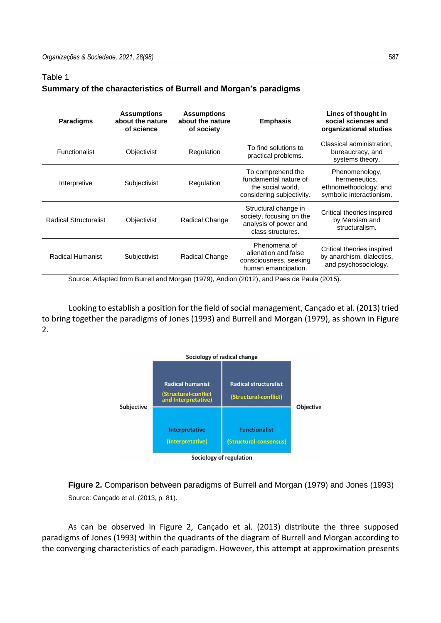#### Table 1

#### **Summary of the characteristics of Burrell and Morgan's paradigms**

| <b>Paradigms</b>             | <b>Assumptions</b><br>about the nature<br>of science | <b>Assumptions</b><br>about the nature<br>of society | <b>Emphasis</b>                                                                                | Lines of thought in<br>social sciences and<br>organizational studies                 |
|------------------------------|------------------------------------------------------|------------------------------------------------------|------------------------------------------------------------------------------------------------|--------------------------------------------------------------------------------------|
| <b>Functionalist</b>         | Objectivist                                          | Regulation                                           | To find solutions to<br>practical problems.                                                    | Classical administration,<br>bureaucracy, and<br>systems theory.                     |
| Interpretive                 | Subjectivist                                         | Regulation                                           | To comprehend the<br>fundamental nature of<br>the social world,<br>considering subjectivity.   | Phenomenology,<br>hermeneutics.<br>ethnomethodology, and<br>symbolic interactionism. |
| <b>Radical Structuralist</b> | Objectivist                                          | Radical Change                                       | Structural change in<br>society, focusing on the<br>analysis of power and<br>class structures. | Critical theories inspired<br>by Marxism and<br>structuralism.                       |
| Radical Humanist             | Subjectivist                                         | Radical Change                                       | Phenomena of<br>alienation and false<br>consciousness, seeking<br>human emancipation.          | Critical theories inspired<br>by anarchism, dialectics,<br>and psychosociology.      |

Source: Adapted from Burrell and Morgan (1979), Andion (2012), and Paes de Paula (2015).

Looking to establish a position for the field of social management, Cançado et al. (2013) tried to bring together the paradigms of Jones (1993) and Burrell and Morgan (1979), as shown in Figure 2.



**Figure 2.** Comparison between paradigms of Burrell and Morgan (1979) and Jones (1993) Source: Cançado et al. (2013, p. 81).

As can be observed in Figure 2, Cançado et al. (2013) distribute the three supposed paradigms of Jones (1993) within the quadrants of the diagram of Burrell and Morgan according to the converging characteristics of each paradigm. However, this attempt at approximation presents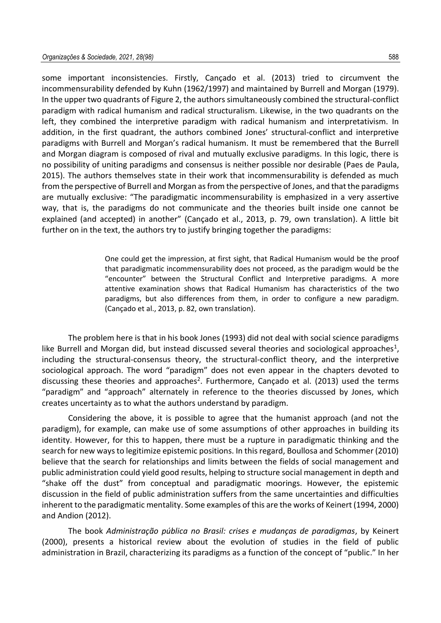some important inconsistencies. Firstly, Cançado et al. (2013) tried to circumvent the incommensurability defended by Kuhn (1962/1997) and maintained by Burrell and Morgan (1979). In the upper two quadrants of Figure 2, the authors simultaneously combined the structural-conflict paradigm with radical humanism and radical structuralism. Likewise, in the two quadrants on the left, they combined the interpretive paradigm with radical humanism and interpretativism. In addition, in the first quadrant, the authors combined Jones' structural-conflict and interpretive paradigms with Burrell and Morgan's radical humanism. It must be remembered that the Burrell and Morgan diagram is composed of rival and mutually exclusive paradigms. In this logic, there is no possibility of uniting paradigms and consensus is neither possible nor desirable (Paes de Paula, 2015). The authors themselves state in their work that incommensurability is defended as much from the perspective of Burrell and Morgan as from the perspective of Jones, and that the paradigms are mutually exclusive: "The paradigmatic incommensurability is emphasized in a very assertive way, that is, the paradigms do not communicate and the theories built inside one cannot be explained (and accepted) in another" (Cançado et al., 2013, p. 79, own translation). A little bit further on in the text, the authors try to justify bringing together the paradigms:

> One could get the impression, at first sight, that Radical Humanism would be the proof that paradigmatic incommensurability does not proceed, as the paradigm would be the "encounter" between the Structural Conflict and Interpretive paradigms. A more attentive examination shows that Radical Humanism has characteristics of the two paradigms, but also differences from them, in order to configure a new paradigm. (Cançado et al., 2013, p. 82, own translation).

The problem here is that in his book Jones (1993) did not deal with social science paradigms like Burrell and Morgan did, but instead discussed several theories and sociological approaches<sup>1</sup>, including the structural-consensus theory, the structural-conflict theory, and the interpretive sociological approach. The word "paradigm" does not even appear in the chapters devoted to discussing these theories and approaches<sup>2</sup>. Furthermore, Cançado et al. (2013) used the terms "paradigm" and "approach" alternately in reference to the theories discussed by Jones, which creates uncertainty as to what the authors understand by paradigm.

Considering the above, it is possible to agree that the humanist approach (and not the paradigm), for example, can make use of some assumptions of other approaches in building its identity. However, for this to happen, there must be a rupture in paradigmatic thinking and the search for new ways to legitimize epistemic positions. In this regard, Boullosa and Schommer (2010) believe that the search for relationships and limits between the fields of social management and public administration could yield good results, helping to structure social management in depth and "shake off the dust" from conceptual and paradigmatic moorings. However, the epistemic discussion in the field of public administration suffers from the same uncertainties and difficulties inherent to the paradigmatic mentality. Some examples of this are the works of Keinert (1994, 2000) and Andion (2012).

The book *Administração pública no Brasil: crises e mudanças de paradigmas*, by Keinert (2000), presents a historical review about the evolution of studies in the field of public administration in Brazil, characterizing its paradigms as a function of the concept of "public." In her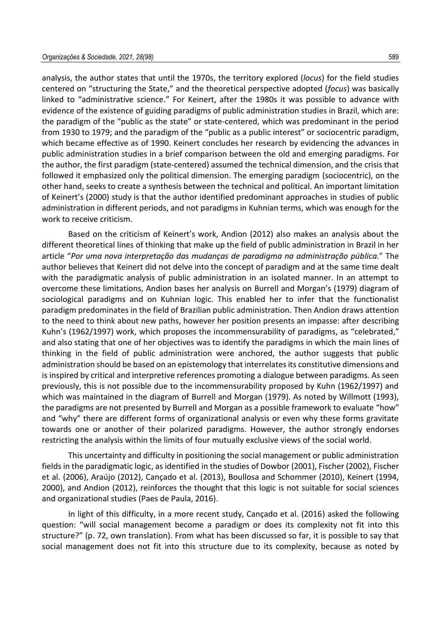analysis, the author states that until the 1970s, the territory explored (*locus*) for the field studies centered on "structuring the State," and the theoretical perspective adopted (*focus*) was basically linked to "administrative science." For Keinert, after the 1980s it was possible to advance with evidence of the existence of guiding paradigms of public administration studies in Brazil, which are: the paradigm of the "public as the state" or state-centered, which was predominant in the period from 1930 to 1979; and the paradigm of the "public as a public interest" or sociocentric paradigm, which became effective as of 1990. Keinert concludes her research by evidencing the advances in public administration studies in a brief comparison between the old and emerging paradigms. For the author, the first paradigm (state-centered) assumed the technical dimension, and the crisis that followed it emphasized only the political dimension. The emerging paradigm (sociocentric), on the other hand, seeks to create a synthesis between the technical and political. An important limitation of Keinert's (2000) study is that the author identified predominant approaches in studies of public administration in different periods, and not paradigms in Kuhnian terms, which was enough for the work to receive criticism.

Based on the criticism of Keinert's work, Andion (2012) also makes an analysis about the different theoretical lines of thinking that make up the field of public administration in Brazil in her article "*Por uma nova interpretação das mudanças de paradigma na administração pública.*" The author believes that Keinert did not delve into the concept of paradigm and at the same time dealt with the paradigmatic analysis of public administration in an isolated manner. In an attempt to overcome these limitations, Andion bases her analysis on Burrell and Morgan's (1979) diagram of sociological paradigms and on Kuhnian logic. This enabled her to infer that the functionalist paradigm predominates in the field of Brazilian public administration. Then Andion draws attention to the need to think about new paths, however her position presents an impasse: after describing Kuhn's (1962/1997) work, which proposes the incommensurability of paradigms, as "celebrated," and also stating that one of her objectives was to identify the paradigms in which the main lines of thinking in the field of public administration were anchored, the author suggests that public administration should be based on an epistemology that interrelates its constitutive dimensions and is inspired by critical and interpretive references promoting a dialogue between paradigms. As seen previously, this is not possible due to the incommensurability proposed by Kuhn (1962/1997) and which was maintained in the diagram of Burrell and Morgan (1979). As noted by Willmott (1993), the paradigms are not presented by Burrell and Morgan as a possible framework to evaluate "how" and "why" there are different forms of organizational analysis or even why these forms gravitate towards one or another of their polarized paradigms. However, the author strongly endorses restricting the analysis within the limits of four mutually exclusive views of the social world.

This uncertainty and difficulty in positioning the social management or public administration fields in the paradigmatic logic, as identified in the studies of Dowbor (2001), Fischer (2002), Fischer et al. (2006), Araújo (2012), Cançado et al. (2013), Boullosa and Schommer (2010), Keinert (1994, 2000), and Andion (2012), reinforces the thought that this logic is not suitable for social sciences and organizational studies (Paes de Paula, 2016).

In light of this difficulty, in a more recent study, Cançado et al. (2016) asked the following question: "will social management become a paradigm or does its complexity not fit into this structure?" (p. 72, own translation). From what has been discussed so far, it is possible to say that social management does not fit into this structure due to its complexity, because as noted by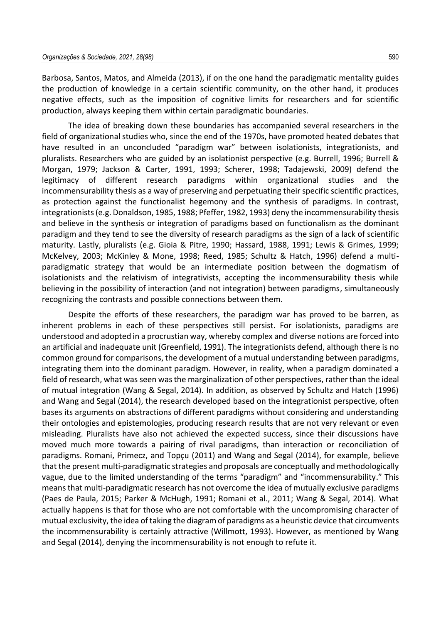Barbosa, Santos, Matos, and Almeida (2013), if on the one hand the paradigmatic mentality guides the production of knowledge in a certain scientific community, on the other hand, it produces negative effects, such as the imposition of cognitive limits for researchers and for scientific production, always keeping them within certain paradigmatic boundaries.

The idea of breaking down these boundaries has accompanied several researchers in the field of organizational studies who, since the end of the 1970s, have promoted heated debates that have resulted in an unconcluded "paradigm war" between isolationists, integrationists, and pluralists. Researchers who are guided by an isolationist perspective (e.g. Burrell, 1996; Burrell & Morgan, 1979; Jackson & Carter, 1991, 1993; Scherer, 1998; Tadajewski, 2009) defend the legitimacy of different research paradigms within organizational studies and the incommensurability thesis as a way of preserving and perpetuating their specific scientific practices, as protection against the functionalist hegemony and the synthesis of paradigms. In contrast, integrationists (e.g. Donaldson, 1985, 1988; Pfeffer, 1982, 1993) deny the incommensurability thesis and believe in the synthesis or integration of paradigms based on functionalism as the dominant paradigm and they tend to see the diversity of research paradigms as the sign of a lack of scientific maturity. Lastly, pluralists (e.g. Gioia & Pitre, 1990; Hassard, 1988, 1991; Lewis & Grimes, 1999; McKelvey, 2003; McKinley & Mone, 1998; Reed, 1985; Schultz & Hatch, 1996) defend a multiparadigmatic strategy that would be an intermediate position between the dogmatism of isolationists and the relativism of integrativists, accepting the incommensurability thesis while believing in the possibility of interaction (and not integration) between paradigms, simultaneously recognizing the contrasts and possible connections between them.

Despite the efforts of these researchers, the paradigm war has proved to be barren, as inherent problems in each of these perspectives still persist. For isolationists, paradigms are understood and adopted in a procrustian way, whereby complex and diverse notions are forced into an artificial and inadequate unit (Greenfield, 1991). The integrationists defend, although there is no common ground for comparisons, the development of a mutual understanding between paradigms, integrating them into the dominant paradigm. However, in reality, when a paradigm dominated a field of research, what was seen was the marginalization of other perspectives, rather than the ideal of mutual integration (Wang & Segal, 2014). In addition, as observed by Schultz and Hatch (1996) and Wang and Segal (2014), the research developed based on the integrationist perspective, often bases its arguments on abstractions of different paradigms without considering and understanding their ontologies and epistemologies, producing research results that are not very relevant or even misleading. Pluralists have also not achieved the expected success, since their discussions have moved much more towards a pairing of rival paradigms, than interaction or reconciliation of paradigms. Romani, Primecz, and Topçu (2011) and Wang and Segal (2014), for example, believe that the present multi-paradigmatic strategies and proposals are conceptually and methodologically vague, due to the limited understanding of the terms "paradigm" and "incommensurability." This means that multi-paradigmatic research has not overcome the idea of mutually exclusive paradigms (Paes de Paula, 2015; Parker & McHugh, 1991; Romani et al., 2011; Wang & Segal, 2014). What actually happens is that for those who are not comfortable with the uncompromising character of mutual exclusivity, the idea of taking the diagram of paradigms as a heuristic device that circumvents the incommensurability is certainly attractive (Willmott, 1993). However, as mentioned by Wang and Segal (2014), denying the incommensurability is not enough to refute it.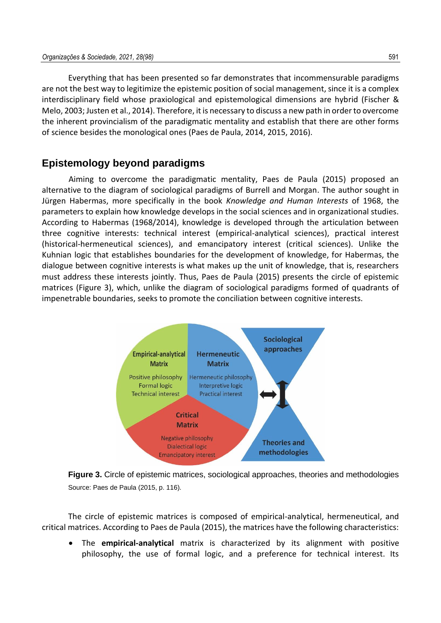Everything that has been presented so far demonstrates that incommensurable paradigms are not the best way to legitimize the epistemic position of social management, since it is a complex interdisciplinary field whose praxiological and epistemological dimensions are hybrid (Fischer & Melo, 2003; Justen et al., 2014). Therefore, it is necessary to discuss a new path in order to overcome the inherent provincialism of the paradigmatic mentality and establish that there are other forms of science besides the monological ones (Paes de Paula, 2014, 2015, 2016).

## **Epistemology beyond paradigms**

Aiming to overcome the paradigmatic mentality, Paes de Paula (2015) proposed an alternative to the diagram of sociological paradigms of Burrell and Morgan. The author sought in Jürgen Habermas, more specifically in the book *Knowledge and Human Interests* of 1968, the parameters to explain how knowledge develops in the social sciences and in organizational studies. According to Habermas (1968/2014), knowledge is developed through the articulation between three cognitive interests: technical interest (empirical-analytical sciences), practical interest (historical-hermeneutical sciences), and emancipatory interest (critical sciences). Unlike the Kuhnian logic that establishes boundaries for the development of knowledge, for Habermas, the dialogue between cognitive interests is what makes up the unit of knowledge, that is, researchers must address these interests jointly. Thus, Paes de Paula (2015) presents the circle of epistemic matrices (Figure 3), which, unlike the diagram of sociological paradigms formed of quadrants of impenetrable boundaries, seeks to promote the conciliation between cognitive interests.





The circle of epistemic matrices is composed of empirical-analytical, hermeneutical, and critical matrices. According to Paes de Paula (2015), the matrices have the following characteristics:

• The **empirical-analytical** matrix is characterized by its alignment with positive philosophy, the use of formal logic, and a preference for technical interest. Its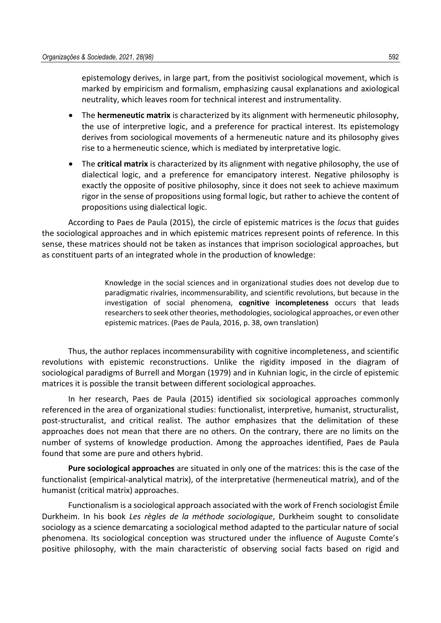epistemology derives, in large part, from the positivist sociological movement, which is marked by empiricism and formalism, emphasizing causal explanations and axiological neutrality, which leaves room for technical interest and instrumentality.

- The **hermeneutic matrix** is characterized by its alignment with hermeneutic philosophy, the use of interpretive logic, and a preference for practical interest. Its epistemology derives from sociological movements of a hermeneutic nature and its philosophy gives rise to a hermeneutic science, which is mediated by interpretative logic.
- The **critical matrix** is characterized by its alignment with negative philosophy, the use of dialectical logic, and a preference for emancipatory interest. Negative philosophy is exactly the opposite of positive philosophy, since it does not seek to achieve maximum rigor in the sense of propositions using formal logic, but rather to achieve the content of propositions using dialectical logic.

According to Paes de Paula (2015), the circle of epistemic matrices is the *locus* that guides the sociological approaches and in which epistemic matrices represent points of reference. In this sense, these matrices should not be taken as instances that imprison sociological approaches, but as constituent parts of an integrated whole in the production of knowledge:

> Knowledge in the social sciences and in organizational studies does not develop due to paradigmatic rivalries, incommensurability, and scientific revolutions, but because in the investigation of social phenomena, **cognitive incompleteness** occurs that leads researchers to seek other theories, methodologies, sociological approaches, or even other epistemic matrices. (Paes de Paula, 2016, p. 38, own translation)

Thus, the author replaces incommensurability with cognitive incompleteness, and scientific revolutions with epistemic reconstructions. Unlike the rigidity imposed in the diagram of sociological paradigms of Burrell and Morgan (1979) and in Kuhnian logic, in the circle of epistemic matrices it is possible the transit between different sociological approaches.

In her research, Paes de Paula (2015) identified six sociological approaches commonly referenced in the area of organizational studies: functionalist, interpretive, humanist, structuralist, post-structuralist, and critical realist. The author emphasizes that the delimitation of these approaches does not mean that there are no others. On the contrary, there are no limits on the number of systems of knowledge production. Among the approaches identified, Paes de Paula found that some are pure and others hybrid.

**Pure sociological approaches** are situated in only one of the matrices: this is the case of the functionalist (empirical-analytical matrix), of the interpretative (hermeneutical matrix), and of the humanist (critical matrix) approaches.

Functionalism is a sociological approach associated with the work of French sociologist Émile Durkheim. In his book *Les règles de la méthode sociologique*, Durkheim sought to consolidate sociology as a science demarcating a sociological method adapted to the particular nature of social phenomena. Its sociological conception was structured under the influence of Auguste Comte's positive philosophy, with the main characteristic of observing social facts based on rigid and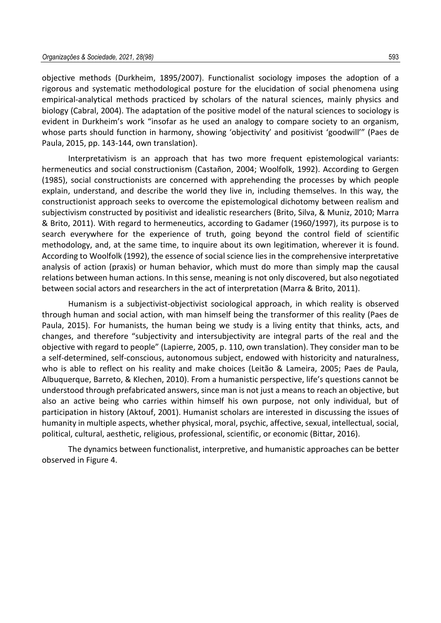objective methods (Durkheim, 1895/2007). Functionalist sociology imposes the adoption of a rigorous and systematic methodological posture for the elucidation of social phenomena using empirical-analytical methods practiced by scholars of the natural sciences, mainly physics and biology (Cabral, 2004). The adaptation of the positive model of the natural sciences to sociology is evident in Durkheim's work "insofar as he used an analogy to compare society to an organism, whose parts should function in harmony, showing 'objectivity' and positivist 'goodwill'" (Paes de Paula, 2015, pp. 143-144, own translation).

Interpretativism is an approach that has two more frequent epistemological variants: hermeneutics and social constructionism (Castañon, 2004; Woolfolk, 1992). According to Gergen (1985), social constructionists are concerned with apprehending the processes by which people explain, understand, and describe the world they live in, including themselves. In this way, the constructionist approach seeks to overcome the epistemological dichotomy between realism and subjectivism constructed by positivist and idealistic researchers (Brito, Silva, & Muniz, 2010; Marra & Brito, 2011). With regard to hermeneutics, according to Gadamer (1960/1997), its purpose is to search everywhere for the experience of truth, going beyond the control field of scientific methodology, and, at the same time, to inquire about its own legitimation, wherever it is found. According to Woolfolk (1992), the essence of social science lies in the comprehensive interpretative analysis of action (praxis) or human behavior, which must do more than simply map the causal relations between human actions. In this sense, meaning is not only discovered, but also negotiated between social actors and researchers in the act of interpretation (Marra & Brito, 2011).

Humanism is a subjectivist-objectivist sociological approach, in which reality is observed through human and social action, with man himself being the transformer of this reality (Paes de Paula, 2015). For humanists, the human being we study is a living entity that thinks, acts, and changes, and therefore "subjectivity and intersubjectivity are integral parts of the real and the objective with regard to people" (Lapierre, 2005, p. 110, own translation). They consider man to be a self-determined, self-conscious, autonomous subject, endowed with historicity and naturalness, who is able to reflect on his reality and make choices (Leitão & Lameira, 2005; Paes de Paula, Albuquerque, Barreto, & Klechen, 2010). From a humanistic perspective, life's questions cannot be understood through prefabricated answers, since man is not just a means to reach an objective, but also an active being who carries within himself his own purpose, not only individual, but of participation in history (Aktouf, 2001). Humanist scholars are interested in discussing the issues of humanity in multiple aspects, whether physical, moral, psychic, affective, sexual, intellectual, social, political, cultural, aesthetic, religious, professional, scientific, or economic (Bittar, 2016).

The dynamics between functionalist, interpretive, and humanistic approaches can be better observed in Figure 4.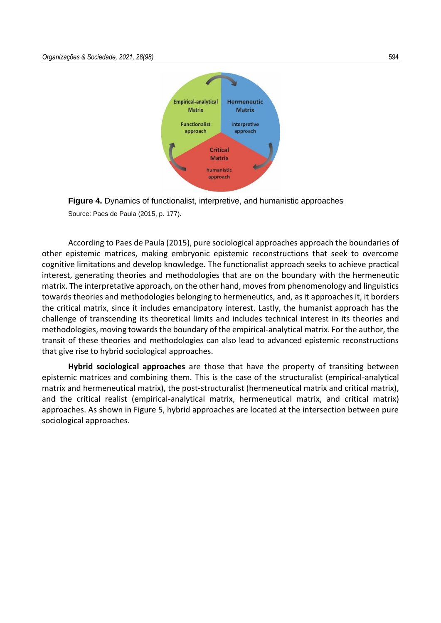

**Figure 4.** Dynamics of functionalist, interpretive, and humanistic approaches Source: Paes de Paula (2015, p. 177).

According to Paes de Paula (2015), pure sociological approaches approach the boundaries of other epistemic matrices, making embryonic epistemic reconstructions that seek to overcome cognitive limitations and develop knowledge. The functionalist approach seeks to achieve practical interest, generating theories and methodologies that are on the boundary with the hermeneutic matrix. The interpretative approach, on the other hand, moves from phenomenology and linguistics towards theories and methodologies belonging to hermeneutics, and, as it approaches it, it borders the critical matrix, since it includes emancipatory interest. Lastly, the humanist approach has the challenge of transcending its theoretical limits and includes technical interest in its theories and methodologies, moving towards the boundary of the empirical-analytical matrix. For the author, the transit of these theories and methodologies can also lead to advanced epistemic reconstructions that give rise to hybrid sociological approaches.

**Hybrid sociological approaches** are those that have the property of transiting between epistemic matrices and combining them. This is the case of the structuralist (empirical-analytical matrix and hermeneutical matrix), the post-structuralist (hermeneutical matrix and critical matrix), and the critical realist (empirical-analytical matrix, hermeneutical matrix, and critical matrix) approaches. As shown in Figure 5, hybrid approaches are located at the intersection between pure sociological approaches.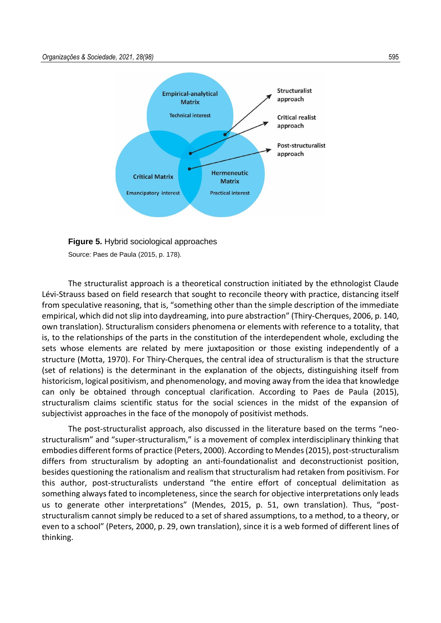

**Figure 5.** Hybrid sociological approaches Source: Paes de Paula (2015, p. 178).

The structuralist approach is a theoretical construction initiated by the ethnologist Claude Lévi-Strauss based on field research that sought to reconcile theory with practice, distancing itself from speculative reasoning, that is, "something other than the simple description of the immediate empirical, which did not slip into daydreaming, into pure abstraction" (Thiry-Cherques, 2006, p. 140, own translation). Structuralism considers phenomena or elements with reference to a totality, that is, to the relationships of the parts in the constitution of the interdependent whole, excluding the sets whose elements are related by mere juxtaposition or those existing independently of a structure (Motta, 1970). For Thiry-Cherques, the central idea of structuralism is that the structure (set of relations) is the determinant in the explanation of the objects, distinguishing itself from historicism, logical positivism, and phenomenology, and moving away from the idea that knowledge can only be obtained through conceptual clarification. According to Paes de Paula (2015), structuralism claims scientific status for the social sciences in the midst of the expansion of subjectivist approaches in the face of the monopoly of positivist methods.

The post-structuralist approach, also discussed in the literature based on the terms "neostructuralism" and "super-structuralism," is a movement of complex interdisciplinary thinking that embodies different forms of practice (Peters, 2000). According to Mendes (2015), post-structuralism differs from structuralism by adopting an anti-foundationalist and deconstructionist position, besides questioning the rationalism and realism that structuralism had retaken from positivism. For this author, post-structuralists understand "the entire effort of conceptual delimitation as something always fated to incompleteness, since the search for objective interpretations only leads us to generate other interpretations" (Mendes, 2015, p. 51, own translation). Thus, "poststructuralism cannot simply be reduced to a set of shared assumptions, to a method, to a theory, or even to a school" (Peters, 2000, p. 29, own translation), since it is a web formed of different lines of thinking.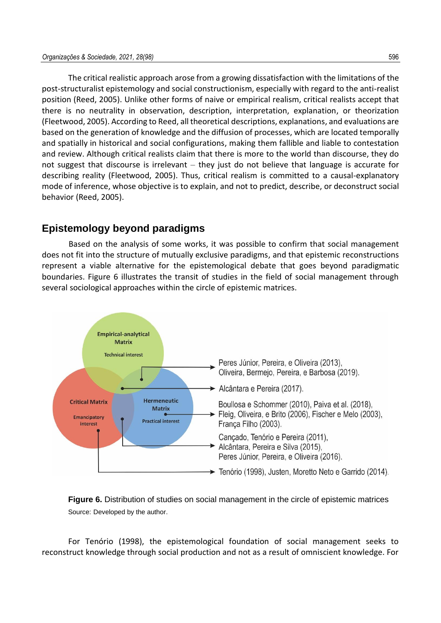The critical realistic approach arose from a growing dissatisfaction with the limitations of the post-structuralist epistemology and social constructionism, especially with regard to the anti-realist position (Reed, 2005). Unlike other forms of naive or empirical realism, critical realists accept that there is no neutrality in observation, description, interpretation, explanation, or theorization (Fleetwood, 2005). According to Reed, all theoretical descriptions, explanations, and evaluations are based on the generation of knowledge and the diffusion of processes, which are located temporally and spatially in historical and social configurations, making them fallible and liable to contestation and review. Although critical realists claim that there is more to the world than discourse, they do not suggest that discourse is irrelevant – they just do not believe that language is accurate for describing reality (Fleetwood, 2005). Thus, critical realism is committed to a causal-explanatory mode of inference, whose objective is to explain, and not to predict, describe, or deconstruct social behavior (Reed, 2005).

### **Epistemology beyond paradigms**

Based on the analysis of some works, it was possible to confirm that social management does not fit into the structure of mutually exclusive paradigms, and that epistemic reconstructions represent a viable alternative for the epistemological debate that goes beyond paradigmatic boundaries. Figure 6 illustrates the transit of studies in the field of social management through several sociological approaches within the circle of epistemic matrices.





For Tenório (1998), the epistemological foundation of social management seeks to reconstruct knowledge through social production and not as a result of omniscient knowledge. For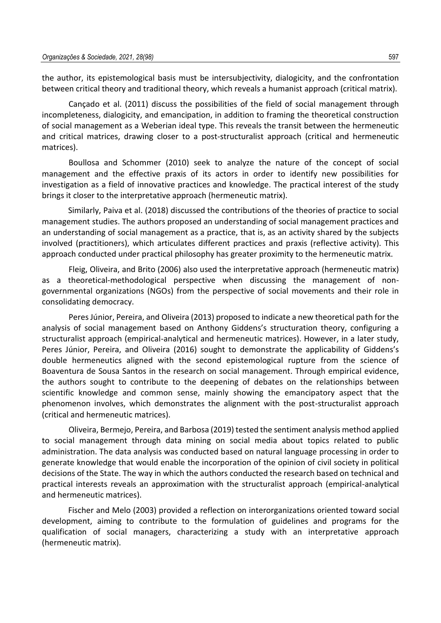the author, its epistemological basis must be intersubjectivity, dialogicity, and the confrontation between critical theory and traditional theory, which reveals a humanist approach (critical matrix).

Cançado et al. (2011) discuss the possibilities of the field of social management through incompleteness, dialogicity, and emancipation, in addition to framing the theoretical construction of social management as a Weberian ideal type. This reveals the transit between the hermeneutic and critical matrices, drawing closer to a post-structuralist approach (critical and hermeneutic matrices).

Boullosa and Schommer (2010) seek to analyze the nature of the concept of social management and the effective praxis of its actors in order to identify new possibilities for investigation as a field of innovative practices and knowledge. The practical interest of the study brings it closer to the interpretative approach (hermeneutic matrix).

Similarly, Paiva et al. (2018) discussed the contributions of the theories of practice to social management studies. The authors proposed an understanding of social management practices and an understanding of social management as a practice, that is, as an activity shared by the subjects involved (practitioners), which articulates different practices and praxis (reflective activity). This approach conducted under practical philosophy has greater proximity to the hermeneutic matrix.

Fleig, Oliveira, and Brito (2006) also used the interpretative approach (hermeneutic matrix) as a theoretical-methodological perspective when discussing the management of nongovernmental organizations (NGOs) from the perspective of social movements and their role in consolidating democracy.

Peres Júnior, Pereira, and Oliveira (2013) proposed to indicate a new theoretical path for the analysis of social management based on Anthony Giddens's structuration theory, configuring a structuralist approach (empirical-analytical and hermeneutic matrices). However, in a later study, Peres Júnior, Pereira, and Oliveira (2016) sought to demonstrate the applicability of Giddens's double hermeneutics aligned with the second epistemological rupture from the science of Boaventura de Sousa Santos in the research on social management. Through empirical evidence, the authors sought to contribute to the deepening of debates on the relationships between scientific knowledge and common sense, mainly showing the emancipatory aspect that the phenomenon involves, which demonstrates the alignment with the post-structuralist approach (critical and hermeneutic matrices).

Oliveira, Bermejo, Pereira, and Barbosa (2019) tested the sentiment analysis method applied to social management through data mining on social media about topics related to public administration. The data analysis was conducted based on natural language processing in order to generate knowledge that would enable the incorporation of the opinion of civil society in political decisions of the State. The way in which the authors conducted the research based on technical and practical interests reveals an approximation with the structuralist approach (empirical-analytical and hermeneutic matrices).

Fischer and Melo (2003) provided a reflection on interorganizations oriented toward social development, aiming to contribute to the formulation of guidelines and programs for the qualification of social managers, characterizing a study with an interpretative approach (hermeneutic matrix).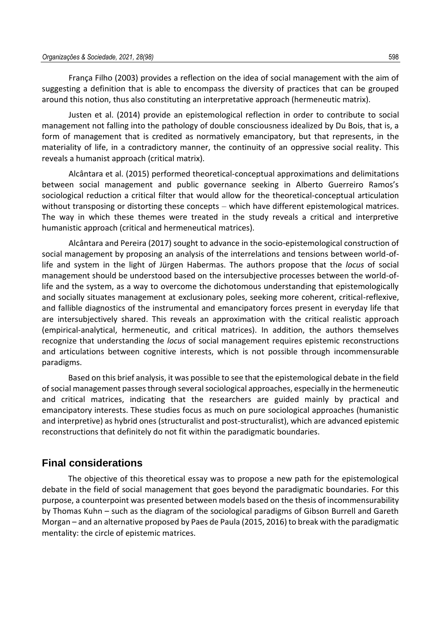França Filho (2003) provides a reflection on the idea of social management with the aim of suggesting a definition that is able to encompass the diversity of practices that can be grouped around this notion, thus also constituting an interpretative approach (hermeneutic matrix).

Justen et al. (2014) provide an epistemological reflection in order to contribute to social management not falling into the pathology of double consciousness idealized by Du Bois, that is, a form of management that is credited as normatively emancipatory, but that represents, in the materiality of life, in a contradictory manner, the continuity of an oppressive social reality. This reveals a humanist approach (critical matrix).

Alcântara et al. (2015) performed theoretical-conceptual approximations and delimitations between social management and public governance seeking in Alberto Guerreiro Ramos's sociological reduction a critical filter that would allow for the theoretical-conceptual articulation without transposing or distorting these concepts – which have different epistemological matrices. The way in which these themes were treated in the study reveals a critical and interpretive humanistic approach (critical and hermeneutical matrices).

Alcântara and Pereira (2017) sought to advance in the socio-epistemological construction of social management by proposing an analysis of the interrelations and tensions between world-oflife and system in the light of Jürgen Habermas. The authors propose that the *locus* of social management should be understood based on the intersubjective processes between the world-oflife and the system, as a way to overcome the dichotomous understanding that epistemologically and socially situates management at exclusionary poles, seeking more coherent, critical-reflexive, and fallible diagnostics of the instrumental and emancipatory forces present in everyday life that are intersubjectively shared. This reveals an approximation with the critical realistic approach (empirical-analytical, hermeneutic, and critical matrices). In addition, the authors themselves recognize that understanding the *locus* of social management requires epistemic reconstructions and articulations between cognitive interests, which is not possible through incommensurable paradigms.

Based on this brief analysis, it was possible to see that the epistemological debate in the field of social management passes through several sociological approaches, especially in the hermeneutic and critical matrices, indicating that the researchers are guided mainly by practical and emancipatory interests. These studies focus as much on pure sociological approaches (humanistic and interpretive) as hybrid ones (structuralist and post-structuralist), which are advanced epistemic reconstructions that definitely do not fit within the paradigmatic boundaries.

#### **Final considerations**

The objective of this theoretical essay was to propose a new path for the epistemological debate in the field of social management that goes beyond the paradigmatic boundaries. For this purpose, a counterpoint was presented between models based on the thesis of incommensurability by Thomas Kuhn – such as the diagram of the sociological paradigms of Gibson Burrell and Gareth Morgan – and an alternative proposed by Paes de Paula (2015, 2016) to break with the paradigmatic mentality: the circle of epistemic matrices.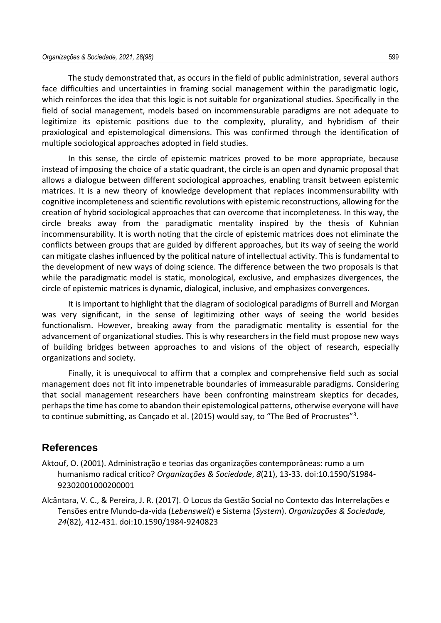The study demonstrated that, as occurs in the field of public administration, several authors face difficulties and uncertainties in framing social management within the paradigmatic logic, which reinforces the idea that this logic is not suitable for organizational studies. Specifically in the field of social management, models based on incommensurable paradigms are not adequate to legitimize its epistemic positions due to the complexity, plurality, and hybridism of their praxiological and epistemological dimensions. This was confirmed through the identification of multiple sociological approaches adopted in field studies.

In this sense, the circle of epistemic matrices proved to be more appropriate, because instead of imposing the choice of a static quadrant, the circle is an open and dynamic proposal that allows a dialogue between different sociological approaches, enabling transit between epistemic matrices. It is a new theory of knowledge development that replaces incommensurability with cognitive incompleteness and scientific revolutions with epistemic reconstructions, allowing for the creation of hybrid sociological approaches that can overcome that incompleteness. In this way, the circle breaks away from the paradigmatic mentality inspired by the thesis of Kuhnian incommensurability. It is worth noting that the circle of epistemic matrices does not eliminate the conflicts between groups that are guided by different approaches, but its way of seeing the world can mitigate clashes influenced by the political nature of intellectual activity. This is fundamental to the development of new ways of doing science. The difference between the two proposals is that while the paradigmatic model is static, monological, exclusive, and emphasizes divergences, the circle of epistemic matrices is dynamic, dialogical, inclusive, and emphasizes convergences.

It is important to highlight that the diagram of sociological paradigms of Burrell and Morgan was very significant, in the sense of legitimizing other ways of seeing the world besides functionalism. However, breaking away from the paradigmatic mentality is essential for the advancement of organizational studies. This is why researchers in the field must propose new ways of building bridges between approaches to and visions of the object of research, especially organizations and society.

Finally, it is unequivocal to affirm that a complex and comprehensive field such as social management does not fit into impenetrable boundaries of immeasurable paradigms. Considering that social management researchers have been confronting mainstream skeptics for decades, perhaps the time has come to abandon their epistemological patterns, otherwise everyone will have to continue submitting, as Cançado et al. (2015) would say, to "The Bed of Procrustes"<sup>3</sup> .

### **References**

- Aktouf, O. (2001). Administração e teorias das organizações contemporâneas: rumo a um humanismo radical crítico? *Organizações & Sociedade*, *8*(21), 13-33. doi:10.1590/S1984- 92302001000200001
- Alcântara, V. C., & Pereira, J. R. (2017). O Locus da Gestão Social no Contexto das Interrelações e Tensões entre Mundo-da-vida (*Lebenswelt*) e Sistema (*System*). *Organizações & Sociedade, 24*(82), 412-431. doi:10.1590/1984-9240823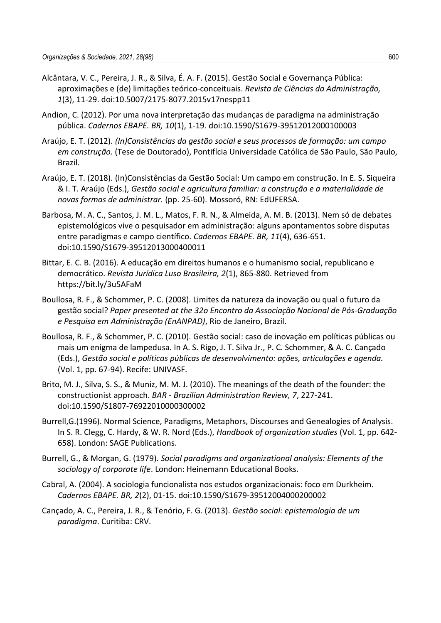- Alcântara, V. C., Pereira, J. R., & Silva, É. A. F. (2015). Gestão Social e Governança Pública: aproximações e (de) limitações teórico-conceituais. *Revista de Ciências da Administração, 1*(3), 11-29. doi:10.5007/2175-8077.2015v17nespp11
- Andion, C. (2012). Por uma nova interpretação das mudanças de paradigma na administração pública. *Cadernos EBAPE. BR, 10*(1), 1-19. doi:10.1590/S1679-39512012000100003
- Araújo, E. T. (2012). *(In)Consistências da gestão social e seus processos de formação: um campo em construção.* (Tese de Doutorado), Pontifícia Universidade Católica de São Paulo, São Paulo, Brazil.
- Araújo, E. T. (2018). (In)Consistências da Gestão Social: Um campo em construção. In E. S. Siqueira & I. T. Araújo (Eds.), *Gestão social e agricultura familiar: a construção e a materialidade de novas formas de administrar.* (pp. 25-60). Mossoró, RN: EdUFERSA.
- Barbosa, M. A. C., Santos, J. M. L., Matos, F. R. N., & Almeida, A. M. B. (2013). Nem só de debates epistemológicos vive o pesquisador em administração: alguns apontamentos sobre disputas entre paradigmas e campo científico. *Cadernos EBAPE. BR, 11*(4), 636-651. doi:10.1590/S1679-39512013000400011
- Bittar, E. C. B. (2016). A educação em direitos humanos e o humanismo social, republicano e democrático. *Revista Jurídica Luso Brasileira, 2*(1), 865-880. Retrieved from https://bit.ly/3u5AFaM
- Boullosa, R. F., & Schommer, P. C. (2008). Limites da natureza da inovação ou qual o futuro da gestão social? *Paper presented at the 32o Encontro da Associação Nacional de Pós-Graduação e Pesquisa em Administração (EnANPAD)*, Rio de Janeiro, Brazil.
- Boullosa, R. F., & Schommer, P. C. (2010). Gestão social: caso de inovação em políticas públicas ou mais um enigma de lampedusa. In A. S. Rigo, J. T. Silva Jr., P. C. Schommer, & A. C. Cançado (Eds.), *Gestão social e políticas públicas de desenvolvimento: ações, articulações e agenda.* (Vol. 1, pp. 67-94). Recife: UNIVASF.
- Brito, M. J., Silva, S. S., & Muniz, M. M. J. (2010). The meanings of the death of the founder: the constructionist approach. *BAR - Brazilian Administration Review, 7*, 227-241. doi:10.1590/S1807-76922010000300002
- Burrell,G.(1996). Normal Science, Paradigms, Metaphors, Discourses and Genealogies of Analysis. In S. R. Clegg, C. Hardy, & W. R. Nord (Eds.), *Handbook of organization studies* (Vol. 1, pp. 642- 658). London: SAGE Publications.
- Burrell, G., & Morgan, G. (1979). *Social paradigms and organizational analysis: Elements of the sociology of corporate life*. London: Heinemann Educational Books.
- Cabral, A. (2004). A sociologia funcionalista nos estudos organizacionais: foco em Durkheim. *Cadernos EBAPE. BR, 2*(2), 01-15. doi:10.1590/S1679-39512004000200002
- Cançado, A. C., Pereira, J. R., & Tenório, F. G. (2013). *Gestão social: epistemologia de um paradigma*. Curitiba: CRV.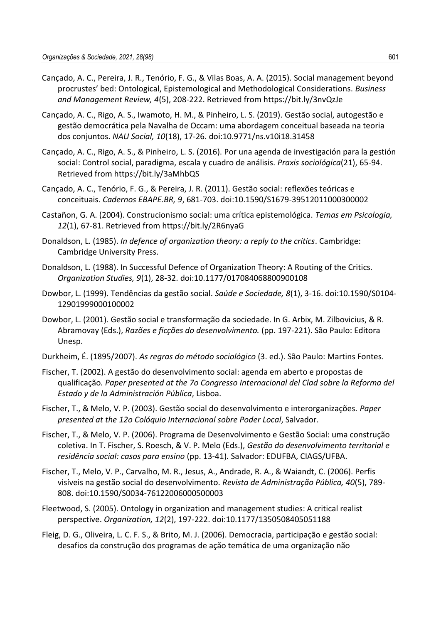- Cançado, A. C., Pereira, J. R., Tenório, F. G., & Vilas Boas, A. A. (2015). Social management beyond procrustes' bed: Ontological, Epistemological and Methodological Considerations. *Business and Management Review, 4*(5), 208-222. Retrieved from https://bit.ly/3nvQzJe
- Cançado, A. C., Rigo, A. S., Iwamoto, H. M., & Pinheiro, L. S. (2019). Gestão social, autogestão e gestão democrática pela Navalha de Occam: uma abordagem conceitual baseada na teoria dos conjuntos. *NAU Social, 10*(18), 17-26. doi:10.9771/ns.v10i18.31458
- Cançado, A. C., Rigo, A. S., & Pinheiro, L. S. (2016). Por una agenda de investigación para la gestión social: Control social, paradigma, escala y cuadro de análisis. *Praxis sociológica*(21), 65-94. Retrieved from https://bit.ly/3aMhbQS
- Cançado, A. C., Tenório, F. G., & Pereira, J. R. (2011). Gestão social: reflexões teóricas e conceituais. *Cadernos EBAPE.BR, 9*, 681-703. doi:10.1590/S1679-39512011000300002
- Castañon, G. A. (2004). Construcionismo social: uma crítica epistemológica. *Temas em Psicologia, 12*(1), 67-81. Retrieved from https://bit.ly/2R6nyaG
- Donaldson, L. (1985). *In defence of organization theory: a reply to the critics*. Cambridge: Cambridge University Press.
- Donaldson, L. (1988). In Successful Defence of Organization Theory: A Routing of the Critics. *Organization Studies, 9*(1), 28-32. doi:10.1177/017084068800900108
- Dowbor, L. (1999). Tendências da gestão social. *Saúde e Sociedade, 8*(1), 3-16. doi:10.1590/S0104- 12901999000100002
- Dowbor, L. (2001). Gestão social e transformação da sociedade. In G. Arbix, M. Zilbovicius, & R. Abramovay (Eds.), *Razões e ficções do desenvolvimento.* (pp. 197-221). São Paulo: Editora Unesp.
- Durkheim, É. (1895/2007). *As regras do método sociológico* (3. ed.). São Paulo: Martins Fontes.
- Fischer, T. (2002). A gestão do desenvolvimento social: agenda em aberto e propostas de qualificação*. Paper presented at the 7o Congresso Internacional del Clad sobre la Reforma del Estado y de la Administración Pública*, Lisboa.
- Fischer, T., & Melo, V. P. (2003). Gestão social do desenvolvimento e interorganizações*. Paper presented at the 12o Colóquio Internacional sobre Poder Local*, Salvador.
- Fischer, T., & Melo, V. P. (2006). Programa de Desenvolvimento e Gestão Social: uma construção coletiva. In T. Fischer, S. Roesch, & V. P. Melo (Eds.), *Gestão do desenvolvimento territorial e residência social: casos para ensino* (pp. 13-41)*.* Salvador: EDUFBA, CIAGS/UFBA.
- Fischer, T., Melo, V. P., Carvalho, M. R., Jesus, A., Andrade, R. A., & Waiandt, C. (2006). Perfis visíveis na gestão social do desenvolvimento. *Revista de Administração Pública, 40*(5), 789- 808. doi:10.1590/S0034-76122006000500003
- Fleetwood, S. (2005). Ontology in organization and management studies: A critical realist perspective. *Organization, 12*(2), 197-222. doi:10.1177/1350508405051188
- Fleig, D. G., Oliveira, L. C. F. S., & Brito, M. J. (2006). Democracia, participação e gestão social: desafios da construção dos programas de ação temática de uma organização não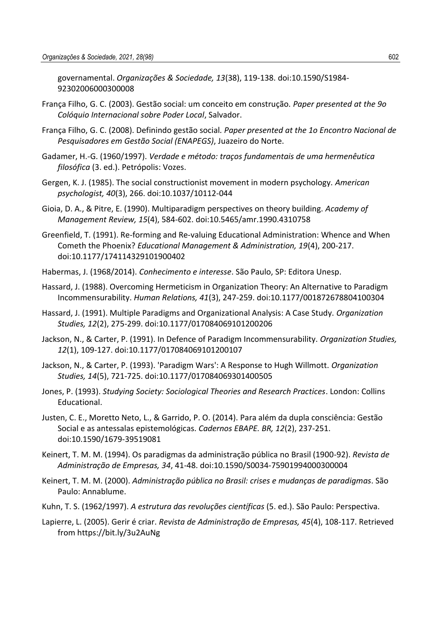governamental. *Organizações & Sociedade, 13*(38), 119-138. doi:10.1590/S1984- 92302006000300008

- França Filho, G. C. (2003). Gestão social: um conceito em construção*. Paper presented at the 9o Colóquio Internacional sobre Poder Local*, Salvador.
- França Filho, G. C. (2008). Definindo gestão social*. Paper presented at the 1o Encontro Nacional de Pesquisadores em Gestão Social (ENAPEGS)*, Juazeiro do Norte.
- Gadamer, H.-G. (1960/1997). *Verdade e método: traços fundamentais de uma hermenêutica filosófica* (3. ed.). Petrópolis: Vozes.
- Gergen, K. J. (1985). The social constructionist movement in modern psychology. *American psychologist, 40*(3), 266. doi:10.1037/10112-044
- Gioia, D. A., & Pitre, E. (1990). Multiparadigm perspectives on theory building. *Academy of Management Review, 15*(4), 584-602. doi:10.5465/amr.1990.4310758
- Greenfield, T. (1991). Re-forming and Re-valuing Educational Administration: Whence and When Cometh the Phoenix? *Educational Management & Administration, 19*(4), 200-217. doi:10.1177/174114329101900402
- Habermas, J. (1968/2014). *Conhecimento e interesse*. São Paulo, SP: Editora Unesp.
- Hassard, J. (1988). Overcoming Hermeticism in Organization Theory: An Alternative to Paradigm Incommensurability. *Human Relations, 41*(3), 247-259. doi:10.1177/001872678804100304
- Hassard, J. (1991). Multiple Paradigms and Organizational Analysis: A Case Study. *Organization Studies, 12*(2), 275-299. doi:10.1177/017084069101200206
- Jackson, N., & Carter, P. (1991). In Defence of Paradigm Incommensurability. *Organization Studies, 12*(1), 109-127. doi:10.1177/017084069101200107
- Jackson, N., & Carter, P. (1993). 'Paradigm Wars': A Response to Hugh Willmott. *Organization Studies, 14*(5), 721-725. doi:10.1177/017084069301400505
- Jones, P. (1993). *Studying Society: Sociological Theories and Research Practices*. London: Collins Educational.
- Justen, C. E., Moretto Neto, L., & Garrido, P. O. (2014). Para além da dupla consciência: Gestão Social e as antessalas epistemológicas. *Cadernos EBAPE. BR, 12*(2), 237-251. doi:10.1590/1679-39519081
- Keinert, T. M. M. (1994). Os paradigmas da administração pública no Brasil (1900-92). *Revista de Administração de Empresas, 34*, 41-48. doi:10.1590/S0034-75901994000300004
- Keinert, T. M. M. (2000). *Administração pública no Brasil: crises e mudanças de paradigmas*. São Paulo: Annablume.
- Kuhn, T. S. (1962/1997). *A estrutura das revoluções científicas* (5. ed.). São Paulo: Perspectiva.
- Lapierre, L. (2005). Gerir é criar. *Revista de Administração de Empresas, 45*(4), 108-117. Retrieved from https://bit.ly/3u2AuNg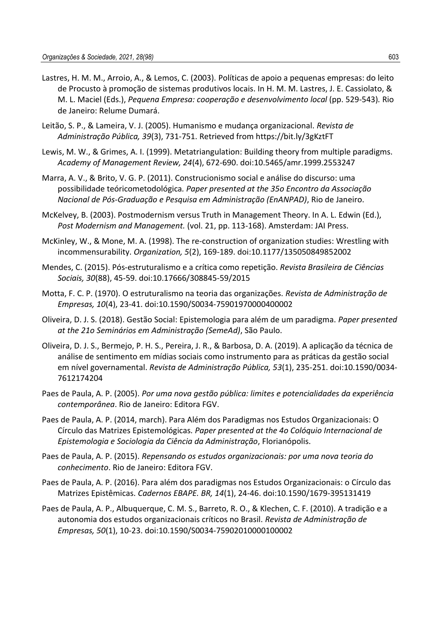- Lastres, H. M. M., Arroio, A., & Lemos, C. (2003). Políticas de apoio a pequenas empresas: do leito de Procusto à promoção de sistemas produtivos locais. In H. M. M. Lastres, J. E. Cassiolato, & M. L. Maciel (Eds.), *Pequena Empresa: cooperação e desenvolvimento local* (pp. 529-543)*.* Rio de Janeiro: Relume Dumará.
- Leitão, S. P., & Lameira, V. J. (2005). Humanismo e mudança organizacional. *Revista de Administração Pública, 39*(3), 731-751. Retrieved from https://bit.ly/3gKztFT
- Lewis, M. W., & Grimes, A. I. (1999). Metatriangulation: Building theory from multiple paradigms. *Academy of Management Review, 24*(4), 672-690. doi:10.5465/amr.1999.2553247
- Marra, A. V., & Brito, V. G. P. (2011). Construcionismo social e análise do discurso: uma possibilidade teóricometodológica*. Paper presented at the 35o Encontro da Associação Nacional de Pós-Graduação e Pesquisa em Administração (EnANPAD)*, Rio de Janeiro.
- McKelvey, B. (2003). Postmodernism versus Truth in Management Theory. In A. L. Edwin (Ed.), *Post Modernism and Management.* (vol. 21, pp. 113-168). Amsterdam: JAI Press.
- McKinley, W., & Mone, M. A. (1998). The re-construction of organization studies: Wrestling with incommensurability. *Organization, 5*(2), 169-189. doi:10.1177/135050849852002
- Mendes, C. (2015). Pós-estruturalismo e a crítica como repetição. *Revista Brasileira de Ciências Sociais, 30*(88), 45-59. doi:10.17666/308845-59/2015
- Motta, F. C. P. (1970). O estruturalismo na teoria das organizações. *Revista de Administração de Empresas, 10*(4), 23-41. doi:10.1590/S0034-75901970000400002
- Oliveira, D. J. S. (2018). Gestão Social: Epistemologia para além de um paradigma. *Paper presented at the 21o Seminários em Administração (SemeAd)*, São Paulo.
- Oliveira, D. J. S., Bermejo, P. H. S., Pereira, J. R., & Barbosa, D. A. (2019). A aplicação da técnica de análise de sentimento em mídias sociais como instrumento para as práticas da gestão social em nível governamental. *Revista de Administração Pública, 53*(1), 235-251. doi:10.1590/0034- 7612174204
- Paes de Paula, A. P. (2005). *Por uma nova gestão pública: limites e potencialidades da experiência contemporânea*. Rio de Janeiro: Editora FGV.
- Paes de Paula, A. P. (2014, march). Para Além dos Paradigmas nos Estudos Organizacionais: O Círculo das Matrizes Epistemológicas*. Paper presented at the 4o Colóquio Internacional de Epistemologia e Sociologia da Ciência da Administração*, Florianópolis.
- Paes de Paula, A. P. (2015). *Repensando os estudos organizacionais: por uma nova teoria do conhecimento*. Rio de Janeiro: Editora FGV.
- Paes de Paula, A. P. (2016). Para além dos paradigmas nos Estudos Organizacionais: o Círculo das Matrizes Epistêmicas. *Cadernos EBAPE. BR, 14*(1), 24-46. doi:10.1590/1679-395131419
- Paes de Paula, A. P., Albuquerque, C. M. S., Barreto, R. O., & Klechen, C. F. (2010). A tradição e a autonomia dos estudos organizacionais críticos no Brasil. *Revista de Administração de Empresas, 50*(1), 10-23. doi:10.1590/S0034-75902010000100002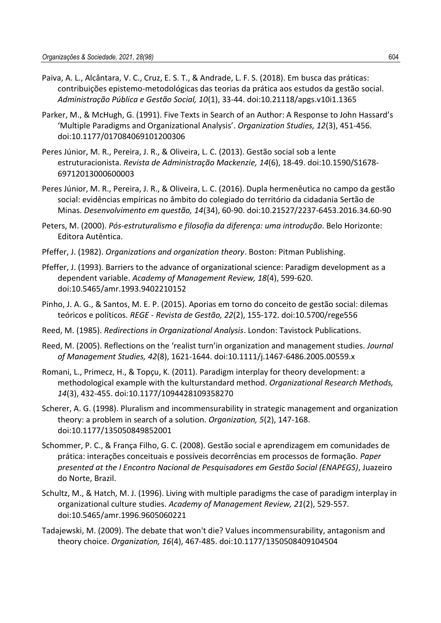- Paiva, A. L., Alcântara, V. C., Cruz, E. S. T., & Andrade, L. F. S. (2018). Em busca das práticas: contribuições epistemo-metodológicas das teorias da prática aos estudos da gestão social. *Administração Pública e Gestão Social, 10*(1), 33-44. doi:10.21118/apgs.v10i1.1365
- Parker, M., & McHugh, G. (1991). Five Texts in Search of an Author: A Response to John Hassard's 'Multiple Paradigms and Organizational Analysis'. *Organization Studies, 12*(3), 451-456. doi:10.1177/017084069101200306
- Peres Júnior, M. R., Pereira, J. R., & Oliveira, L. C. (2013). Gestão social sob a lente estruturacionista. *Revista de Administração Mackenzie, 14*(6), 18-49. doi:10.1590/S1678- 69712013000600003
- Peres Júnior, M. R., Pereira, J. R., & Oliveira, L. C. (2016). Dupla hermenêutica no campo da gestão social: evidências empíricas no âmbito do colegiado do território da cidadania Sertão de Minas. *Desenvolvimento em questão, 14*(34), 60-90. doi:10.21527/2237-6453.2016.34.60-90
- Peters, M. (2000). *Pós-estruturalismo e filosofia da diferença: uma introdução*. Belo Horizonte: Editora Autêntica.
- Pfeffer, J. (1982). *Organizations and organization theory*. Boston: Pitman Publishing.
- Pfeffer, J. (1993). Barriers to the advance of organizational science: Paradigm development as a dependent variable. *Academy of Management Review, 18*(4), 599-620. doi:10.5465/amr.1993.9402210152
- Pinho, J. A. G., & Santos, M. E. P. (2015). Aporias em torno do conceito de gestão social: dilemas teóricos e políticos. *REGE - Revista de Gestão, 22*(2), 155-172. doi:10.5700/rege556
- Reed, M. (1985). *Redirections in Organizational Analysis*. London: Tavistock Publications.
- Reed, M. (2005). Reflections on the 'realist turn'in organization and management studies. *Journal of Management Studies, 42*(8), 1621-1644. doi:10.1111/j.1467-6486.2005.00559.x
- Romani, L., Primecz, H., & Topçu, K. (2011). Paradigm interplay for theory development: a methodological example with the kulturstandard method. *Organizational Research Methods, 14*(3), 432-455. doi:10.1177/1094428109358270
- Scherer, A. G. (1998). Pluralism and incommensurability in strategic management and organization theory: a problem in search of a solution. *Organization, 5*(2), 147-168. doi:10.1177/135050849852001
- Schommer, P. C., & França Filho, G. C. (2008). Gestão social e aprendizagem em comunidades de prática: interações conceituais e possíveis decorrências em processos de formação*. Paper presented at the I Encontro Nacional de Pesquisadores em Gestão Social (ENAPEGS)*, Juazeiro do Norte, Brazil.
- Schultz, M., & Hatch, M. J. (1996). Living with multiple paradigms the case of paradigm interplay in organizational culture studies. *Academy of Management Review, 21*(2), 529-557. doi:10.5465/amr.1996.9605060221
- Tadajewski, M. (2009). The debate that won't die? Values incommensurability, antagonism and theory choice. *Organization, 16*(4), 467-485. doi:10.1177/1350508409104504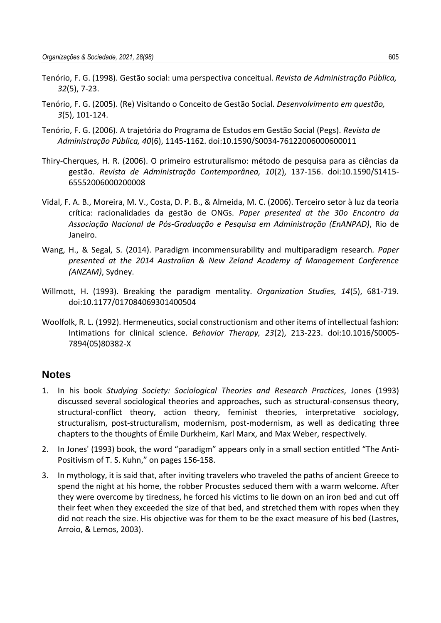- Tenório, F. G. (1998). Gestão social: uma perspectiva conceitual. *Revista de Administração Pública, 32*(5), 7-23.
- Tenório, F. G. (2005). (Re) Visitando o Conceito de Gestão Social. *Desenvolvimento em questão, 3*(5), 101-124.
- Tenório, F. G. (2006). A trajetória do Programa de Estudos em Gestão Social (Pegs). *Revista de Administração Pública, 40*(6), 1145-1162. doi:10.1590/S0034-76122006000600011
- Thiry-Cherques, H. R. (2006). O primeiro estruturalismo: método de pesquisa para as ciências da gestão. *Revista de Administração Contemporânea, 10*(2), 137-156. doi:10.1590/S1415- 65552006000200008
- Vidal, F. A. B., Moreira, M. V., Costa, D. P. B., & Almeida, M. C. (2006). Terceiro setor à luz da teoria crítica: racionalidades da gestão de ONGs. *Paper presented at the 30o Encontro da Associação Nacional de Pós-Graduação e Pesquisa em Administração (EnANPAD)*, Rio de Janeiro.
- Wang, H., & Segal, S. (2014). Paradigm incommensurability and multiparadigm research*. Paper presented at the 2014 Australian & New Zeland Academy of Management Conference (ANZAM)*, Sydney.
- Willmott, H. (1993). Breaking the paradigm mentality. *Organization Studies, 14*(5), 681-719. doi:10.1177/017084069301400504
- Woolfolk, R. L. (1992). Hermeneutics, social constructionism and other items of intellectual fashion: Intimations for clinical science. *Behavior Therapy, 23*(2), 213-223. doi:10.1016/S0005- 7894(05)80382-X

### **Notes**

- 1. In his book *Studying Society: Sociological Theories and Research Practices,* Jones (1993) discussed several sociological theories and approaches, such as structural-consensus theory, structural-conflict theory, action theory, feminist theories, interpretative sociology, structuralism, post-structuralism, modernism, post-modernism, as well as dedicating three chapters to the thoughts of Émile Durkheim, Karl Marx, and Max Weber, respectively.
- 2. In Jones' (1993) book, the word "paradigm" appears only in a small section entitled "The Anti-Positivism of T. S. Kuhn," on pages 156-158.
- 3. In mythology, it is said that, after inviting travelers who traveled the paths of ancient Greece to spend the night at his home, the robber Procustes seduced them with a warm welcome. After they were overcome by tiredness, he forced his victims to lie down on an iron bed and cut off their feet when they exceeded the size of that bed, and stretched them with ropes when they did not reach the size. His objective was for them to be the exact measure of his bed (Lastres, Arroio, & Lemos, 2003).